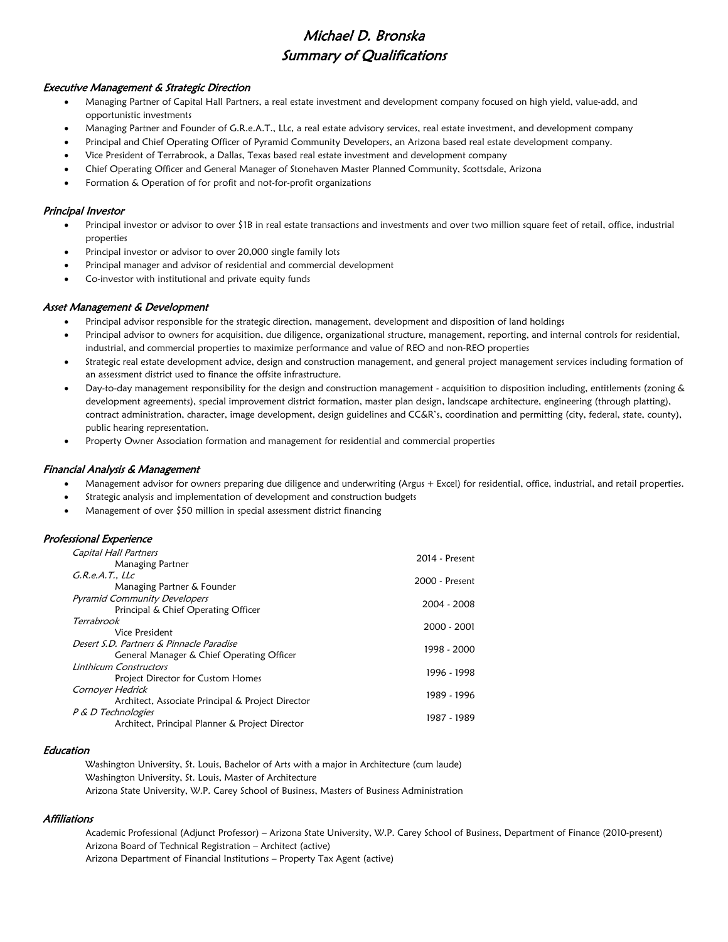# Michael D. Bronska Summary of Qualifications

#### Executive Management & Strategic Direction

- Managing Partner of Capital Hall Partners, a real estate investment and development company focused on high yield, value-add, and opportunistic investments
- Managing Partner and Founder of G.R.e.A.T., LLc, a real estate advisory services, real estate investment, and development company
- Principal and Chief Operating Officer of Pyramid Community Developers, an Arizona based real estate development company.
- Vice President of Terrabrook, a Dallas, Texas based real estate investment and development company
- Chief Operating Officer and General Manager of Stonehaven Master Planned Community, Scottsdale, Arizona
- Formation & Operation of for profit and not-for-profit organizations

#### Principal Investor

- Principal investor or advisor to over \$1B in real estate transactions and investments and over two million square feet of retail, office, industrial properties
- Principal investor or advisor to over 20,000 single family lots
- Principal manager and advisor of residential and commercial development
- Co-investor with institutional and private equity funds

#### Asset Management & Development

- Principal advisor responsible for the strategic direction, management, development and disposition of land holdings
- Principal advisor to owners for acquisition, due diligence, organizational structure, management, reporting, and internal controls for residential, industrial, and commercial properties to maximize performance and value of REO and non-REO properties
- Strategic real estate development advice, design and construction management, and general project management services including formation of an assessment district used to finance the offsite infrastructure.
- Day-to-day management responsibility for the design and construction management acquisition to disposition including, entitlements (zoning & development agreements), special improvement district formation, master plan design, landscape architecture, engineering (through platting), contract administration, character, image development, design guidelines and CC&R's, coordination and permitting (city, federal, state, county), public hearing representation.
- Property Owner Association formation and management for residential and commercial properties

#### Financial Analysis & Management

- Management advisor for owners preparing due diligence and underwriting (Argus + Excel) for residential, office, industrial, and retail properties.
- Strategic analysis and implementation of development and construction budgets
- Management of over \$50 million in special assessment district financing

## Professional Experience

| Capital Hall Partners                             | 2014 - Present |
|---------------------------------------------------|----------------|
| Managing Partner                                  |                |
| G.R.e.A.T., LLC                                   | 2000 - Present |
| Managing Partner & Founder                        |                |
| <b>Pyramid Community Developers</b>               |                |
| Principal & Chief Operating Officer               | 2004 - 2008    |
| Terrabrook                                        | 2000 - 2001    |
| Vice President                                    |                |
| Desert S.D. Partners & Pinnacle Paradise          | 1998 - 2000    |
| General Manager & Chief Operating Officer         |                |
| Linthicum Constructors                            | 1996 - 1998    |
| Project Director for Custom Homes                 |                |
| Cornoyer Hedrick                                  | 1989 - 1996    |
| Architect, Associate Principal & Project Director |                |
| P & D Technologies                                |                |
| Architect, Principal Planner & Project Director   | 1987 - 1989    |

#### Education

Washington University, St. Louis, Bachelor of Arts with a major in Architecture (cum laude) Washington University, St. Louis, Master of Architecture Arizona State University, W.P. Carey School of Business, Masters of Business Administration

#### Affiliations

Academic Professional (Adjunct Professor) – Arizona State University, W.P. Carey School of Business, Department of Finance (2010-present) Arizona Board of Technical Registration – Architect (active) Arizona Department of Financial Institutions – Property Tax Agent (active)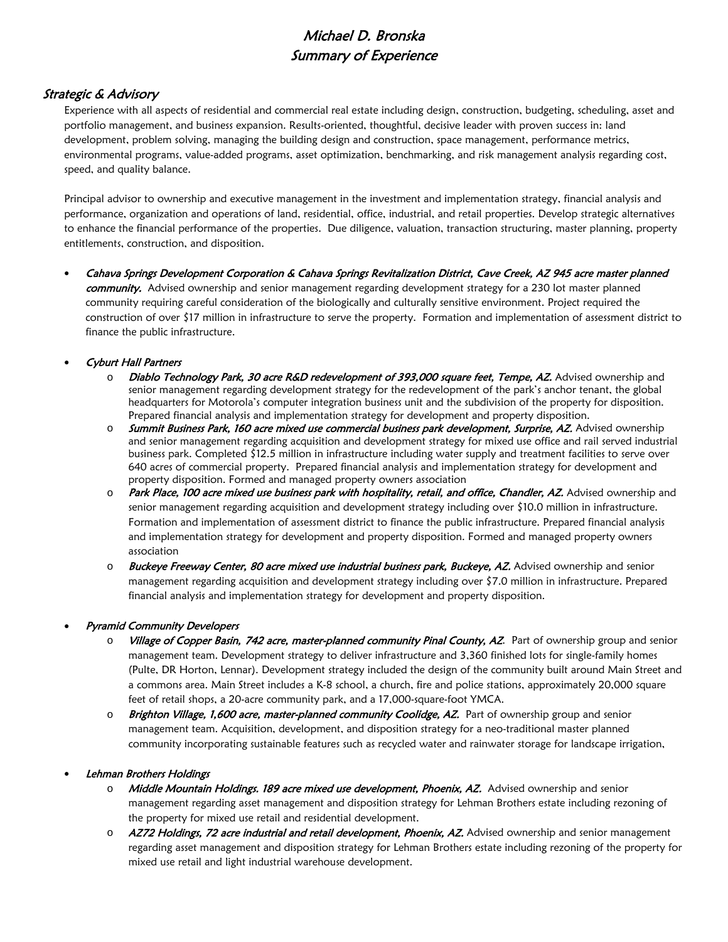# Michael D. Bronska Summary of Experience

# Strategic & Advisory

Experience with all aspects of residential and commercial real estate including design, construction, budgeting, scheduling, asset and portfolio management, and business expansion. Results-oriented, thoughtful, decisive leader with proven success in: land development, problem solving, managing the building design and construction, space management, performance metrics, environmental programs, value-added programs, asset optimization, benchmarking, and risk management analysis regarding cost, speed, and quality balance.

Principal advisor to ownership and executive management in the investment and implementation strategy, financial analysis and performance, organization and operations of land, residential, office, industrial, and retail properties. Develop strategic alternatives to enhance the financial performance of the properties. Due diligence, valuation, transaction structuring, master planning, property entitlements, construction, and disposition.

• Cahava Springs Development Corporation & Cahava Springs Revitalization District, Cave Creek, AZ 945 acre master planned community. Advised ownership and senior management regarding development strategy for a 230 lot master planned community requiring careful consideration of the biologically and culturally sensitive environment. Project required the construction of over \$17 million in infrastructure to serve the property. Formation and implementation of assessment district to finance the public infrastructure.

## • Cyburt Hall Partners

- o Diablo Technology Park, 30 acre R&D redevelopment of 393,000 square feet, Tempe, AZ. Advised ownership and senior management regarding development strategy for the redevelopment of the park's anchor tenant, the global headquarters for Motorola's computer integration business unit and the subdivision of the property for disposition. Prepared financial analysis and implementation strategy for development and property disposition.
- o Summit Business Park, 160 acre mixed use commercial business park development, Surprise, AZ. Advised ownership and senior management regarding acquisition and development strategy for mixed use office and rail served industrial business park. Completed \$12.5 million in infrastructure including water supply and treatment facilities to serve over 640 acres of commercial property. Prepared financial analysis and implementation strategy for development and property disposition. Formed and managed property owners association
- o Park Place, 100 acre mixed use business park with hospitality, retail, and office, Chandler, AZ. Advised ownership and senior management regarding acquisition and development strategy including over \$10.0 million in infrastructure. Formation and implementation of assessment district to finance the public infrastructure. Prepared financial analysis and implementation strategy for development and property disposition. Formed and managed property owners association
- o Buckeye Freeway Center, 80 acre mixed use industrial business park, Buckeye, AZ. Advised ownership and senior management regarding acquisition and development strategy including over \$7.0 million in infrastructure. Prepared financial analysis and implementation strategy for development and property disposition.

## • Pyramid Community Developers

- o Village of Copper Basin, 742 acre, master-planned community Pinal County, AZ. Part of ownership group and senior management team. Development strategy to deliver infrastructure and 3,360 finished lots for single-family homes (Pulte, DR Horton, Lennar). Development strategy included the design of the community built around Main Street and a commons area. Main Street includes a K-8 school, a church, fire and police stations, approximately 20,000 square feet of retail shops, a 20-acre community park, and a 17,000-square-foot YMCA.
- $\circ$  Brighton Village, 1,600 acre, master-planned community Coolidge, AZ. Part of ownership group and senior management team. Acquisition, development, and disposition strategy for a neo-traditional master planned community incorporating sustainable features such as recycled water and rainwater storage for landscape irrigation,

## • Lehman Brothers Holdings

- o Middle Mountain Holdings. 189 acre mixed use development, Phoenix, AZ. Advised ownership and senior management regarding asset management and disposition strategy for Lehman Brothers estate including rezoning of the property for mixed use retail and residential development.
- o AZ72 Holdings, 72 acre industrial and retail development, Phoenix, AZ. Advised ownership and senior management regarding asset management and disposition strategy for Lehman Brothers estate including rezoning of the property for mixed use retail and light industrial warehouse development.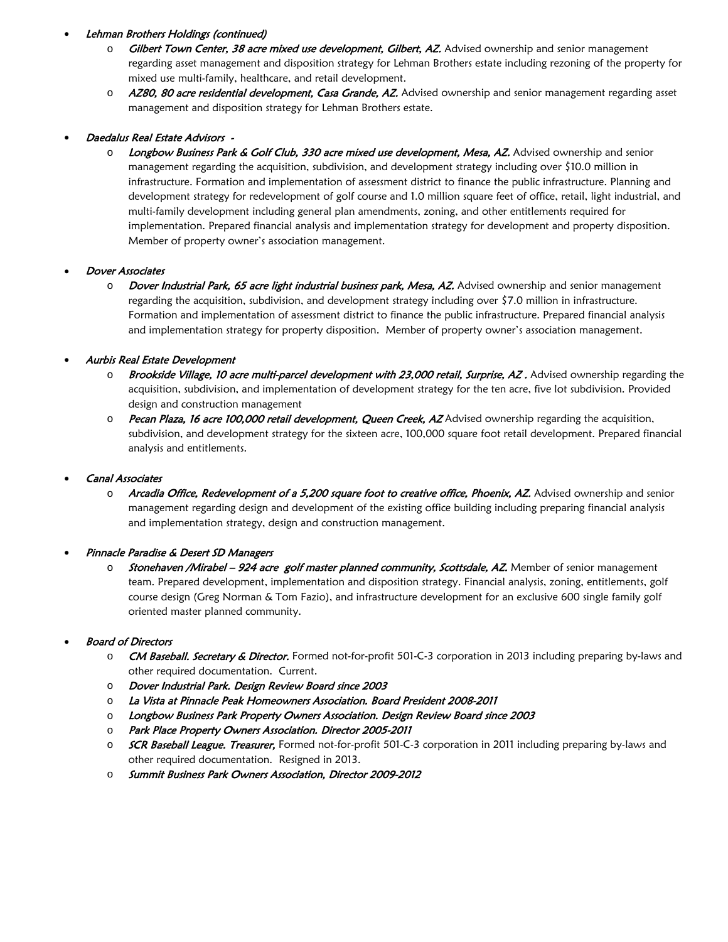## • Lehman Brothers Holdings (continued)

- o Gilbert Town Center, 38 acre mixed use development, Gilbert, AZ. Advised ownership and senior management regarding asset management and disposition strategy for Lehman Brothers estate including rezoning of the property for mixed use multi-family, healthcare, and retail development.
- o AZ80, 80 acre residential development, Casa Grande, AZ. Advised ownership and senior management regarding asset management and disposition strategy for Lehman Brothers estate.

## • Daedalus Real Estate Advisors -

o Longbow Business Park & Golf Club, 330 acre mixed use development, Mesa, AZ. Advised ownership and senior management regarding the acquisition, subdivision, and development strategy including over \$10.0 million in infrastructure. Formation and implementation of assessment district to finance the public infrastructure. Planning and development strategy for redevelopment of golf course and 1.0 million square feet of office, retail, light industrial, and multi-family development including general plan amendments, zoning, and other entitlements required for implementation. Prepared financial analysis and implementation strategy for development and property disposition. Member of property owner's association management.

## • Dover Associates

o Dover Industrial Park, 65 acre light industrial business park, Mesa, AZ. Advised ownership and senior management regarding the acquisition, subdivision, and development strategy including over \$7.0 million in infrastructure. Formation and implementation of assessment district to finance the public infrastructure. Prepared financial analysis and implementation strategy for property disposition. Member of property owner's association management.

## • Aurbis Real Estate Development

- o Brookside Village, 10 acre multi-parcel development with 23,000 retail, Surprise, AZ. Advised ownership regarding the acquisition, subdivision, and implementation of development strategy for the ten acre, five lot subdivision. Provided design and construction management
- o Pecan Plaza, 16 acre 100,000 retail development, Queen Creek, AZ Advised ownership regarding the acquisition, subdivision, and development strategy for the sixteen acre, 100,000 square foot retail development. Prepared financial analysis and entitlements.

## • Canal Associates

 $\circ$  Arcadia Office, Redevelopment of a 5,200 square foot to creative office, Phoenix, AZ. Advised ownership and senior management regarding design and development of the existing office building including preparing financial analysis and implementation strategy, design and construction management.

## • Pinnacle Paradise & Desert SD Managers

o **Stonehaven /Mirabel – 924 acre golf master planned community, Scottsdale, AZ.** Member of senior management team. Prepared development, implementation and disposition strategy. Financial analysis, zoning, entitlements, golf course design (Greg Norman & Tom Fazio), and infrastructure development for an exclusive 600 single family golf oriented master planned community.

## • Board of Directors

- o **CM Baseball. Secretary & Director.** Formed not-for-profit 501-C-3 corporation in 2013 including preparing by-laws and other required documentation. Current.
- o Dover Industrial Park. Design Review Board since 2003
- o La Vista at Pinnacle Peak Homeowners Association. Board President 2008-2011
- o Longbow Business Park Property Owners Association. Design Review Board since 2003
- o Park Place Property Owners Association. Director 2005-2011
- o **SCR Baseball League. Treasurer,** Formed not-for-profit 501-C-3 corporation in 2011 including preparing by-laws and other required documentation. Resigned in 2013.
- o Summit Business Park Owners Association, Director 2009-2012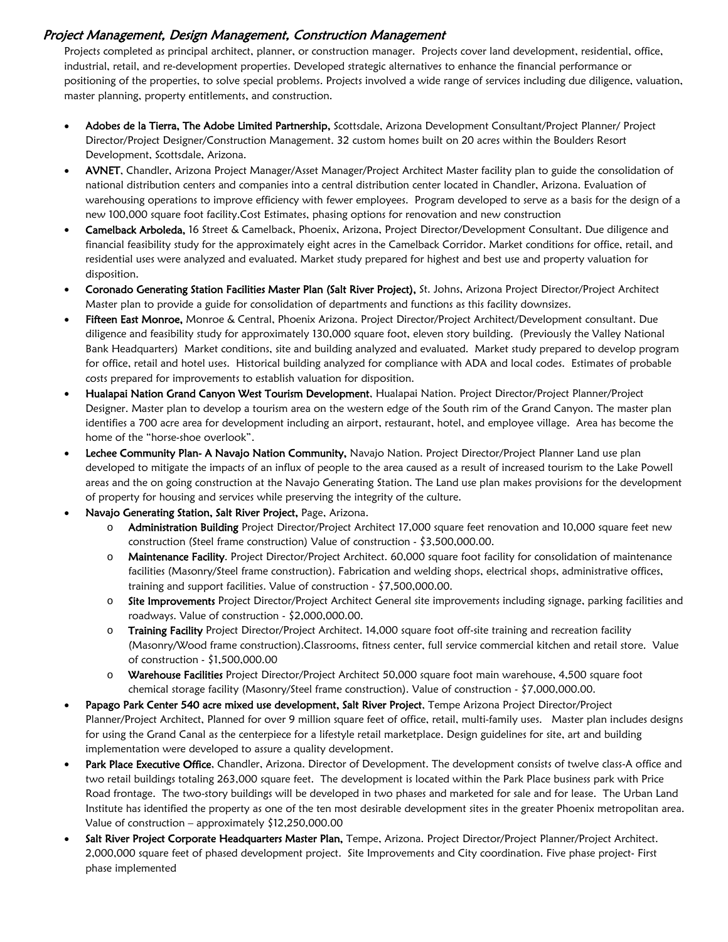# Project Management, Design Management, Construction Management

Projects completed as principal architect, planner, or construction manager. Projects cover land development, residential, office, industrial, retail, and re-development properties. Developed strategic alternatives to enhance the financial performance or positioning of the properties, to solve special problems. Projects involved a wide range of services including due diligence, valuation, master planning, property entitlements, and construction.

- Adobes de la Tierra, The Adobe Limited Partnership, Scottsdale, Arizona Development Consultant/Project Planner/ Project Director/Project Designer/Construction Management. 32 custom homes built on 20 acres within the Boulders Resort Development, Scottsdale, Arizona.
- AVNET, Chandler, Arizona Project Manager/Asset Manager/Project Architect Master facility plan to guide the consolidation of national distribution centers and companies into a central distribution center located in Chandler, Arizona. Evaluation of warehousing operations to improve efficiency with fewer employees. Program developed to serve as a basis for the design of a new 100,000 square foot facility.Cost Estimates, phasing options for renovation and new construction
- Camelback Arboleda, 16 Street & Camelback, Phoenix, Arizona, Project Director/Development Consultant. Due diligence and financial feasibility study for the approximately eight acres in the Camelback Corridor. Market conditions for office, retail, and residential uses were analyzed and evaluated. Market study prepared for highest and best use and property valuation for disposition.
- Coronado Generating Station Facilities Master Plan (Salt River Project), St. Johns, Arizona Project Director/Project Architect Master plan to provide a guide for consolidation of departments and functions as this facility downsizes.
- Fifteen East Monroe, Monroe & Central, Phoenix Arizona. Project Director/Project Architect/Development consultant. Due diligence and feasibility study for approximately 130,000 square foot, eleven story building. (Previously the Valley National Bank Headquarters) Market conditions, site and building analyzed and evaluated. Market study prepared to develop program for office, retail and hotel uses. Historical building analyzed for compliance with ADA and local codes. Estimates of probable costs prepared for improvements to establish valuation for disposition.
- Hualapai Nation Grand Canyon West Tourism Development, Hualapai Nation. Project Director/Project Planner/Project Designer. Master plan to develop a tourism area on the western edge of the South rim of the Grand Canyon. The master plan identifies a 700 acre area for development including an airport, restaurant, hotel, and employee village. Area has become the home of the "horse-shoe overlook".
- Lechee Community Plan- A Navajo Nation Community, Navajo Nation. Project Director/Project Planner Land use plan developed to mitigate the impacts of an influx of people to the area caused as a result of increased tourism to the Lake Powell areas and the on going construction at the Navajo Generating Station. The Land use plan makes provisions for the development of property for housing and services while preserving the integrity of the culture.
- Navajo Generating Station, Salt River Project, Page, Arizona.
	- o **Administration Building** Project Director/Project Architect 17,000 square feet renovation and 10,000 square feet new construction (Steel frame construction) Value of construction - \$3,500,000.00.
	- o Maintenance Facility. Project Director/Project Architect. 60,000 square foot facility for consolidation of maintenance facilities (Masonry/Steel frame construction). Fabrication and welding shops, electrical shops, administrative offices, training and support facilities. Value of construction - \$7,500,000.00.
	- o Site Improvements Project Director/Project Architect General site improvements including signage, parking facilities and roadways. Value of construction - \$2,000,000.00.
	- o Training Facility Project Director/Project Architect. 14,000 square foot off-site training and recreation facility (Masonry/Wood frame construction).Classrooms, fitness center, full service commercial kitchen and retail store. Value of construction - \$1,500,000.00
	- o Warehouse Facilities Project Director/Project Architect 50,000 square foot main warehouse, 4,500 square foot chemical storage facility (Masonry/Steel frame construction). Value of construction - \$7,000,000.00.
- Papago Park Center 540 acre mixed use development, Salt River Project, Tempe Arizona Project Director/Project Planner/Project Architect, Planned for over 9 million square feet of office, retail, multi-family uses. Master plan includes designs for using the Grand Canal as the centerpiece for a lifestyle retail marketplace. Design guidelines for site, art and building implementation were developed to assure a quality development.
- Park Place Executive Office, Chandler, Arizona. Director of Development. The development consists of twelve class-A office and two retail buildings totaling 263,000 square feet. The development is located within the Park Place business park with Price Road frontage. The two-story buildings will be developed in two phases and marketed for sale and for lease. The Urban Land Institute has identified the property as one of the ten most desirable development sites in the greater Phoenix metropolitan area. Value of construction – approximately \$12,250,000.00
- Salt River Project Corporate Headquarters Master Plan, Tempe, Arizona. Project Director/Project Planner/Project Architect. 2,000,000 square feet of phased development project. Site Improvements and City coordination. Five phase project- First phase implemented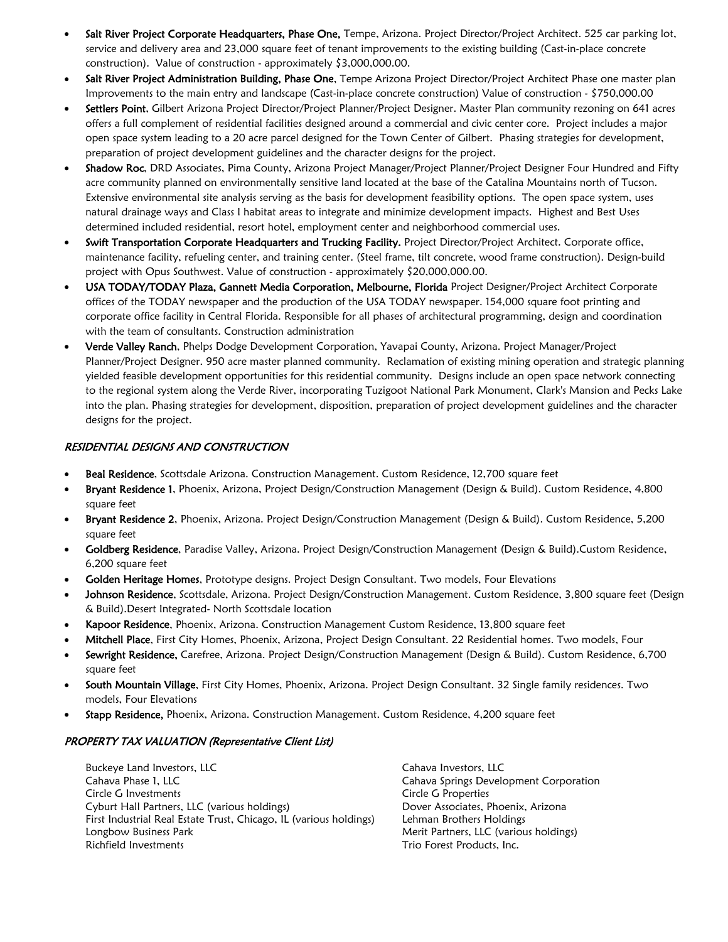- Salt River Project Corporate Headquarters, Phase One, Tempe, Arizona. Project Director/Project Architect. 525 car parking lot, service and delivery area and 23,000 square feet of tenant improvements to the existing building (Cast-in-place concrete construction). Value of construction - approximately \$3,000,000.00.
- Salt River Project Administration Building, Phase One, Tempe Arizona Project Director/Project Architect Phase one master plan Improvements to the main entry and landscape (Cast-in-place concrete construction) Value of construction - \$750,000.00
- Settlers Point, Gilbert Arizona Project Director/Project Planner/Project Designer. Master Plan community rezoning on 641 acres offers a full complement of residential facilities designed around a commercial and civic center core. Project includes a major open space system leading to a 20 acre parcel designed for the Town Center of Gilbert. Phasing strategies for development, preparation of project development guidelines and the character designs for the project.
- Shadow Roc, DRD Associates, Pima County, Arizona Project Manager/Project Planner/Project Designer Four Hundred and Fifty acre community planned on environmentally sensitive land located at the base of the Catalina Mountains north of Tucson. Extensive environmental site analysis serving as the basis for development feasibility options. The open space system, uses natural drainage ways and Class I habitat areas to integrate and minimize development impacts. Highest and Best Uses determined included residential, resort hotel, employment center and neighborhood commercial uses.
- Swift Transportation Corporate Headquarters and Trucking Facility. Project Director/Project Architect. Corporate office, maintenance facility, refueling center, and training center. (Steel frame, tilt concrete, wood frame construction). Design-build project with Opus Southwest. Value of construction - approximately \$20,000,000.00.
- USA TODAY/TODAY Plaza, Gannett Media Corporation, Melbourne, Florida Project Designer/Project Architect Corporate offices of the TODAY newspaper and the production of the USA TODAY newspaper. 154,000 square foot printing and corporate office facility in Central Florida. Responsible for all phases of architectural programming, design and coordination with the team of consultants. Construction administration
- Verde Valley Ranch, Phelps Dodge Development Corporation, Yavapai County, Arizona. Project Manager/Project Planner/Project Designer. 950 acre master planned community. Reclamation of existing mining operation and strategic planning yielded feasible development opportunities for this residential community. Designs include an open space network connecting to the regional system along the Verde River, incorporating Tuzigoot National Park Monument, Clark's Mansion and Pecks Lake into the plan. Phasing strategies for development, disposition, preparation of project development guidelines and the character designs for the project.

## RESIDENTIAL DESIGNS AND CONSTRUCTION

- Beal Residence, Scottsdale Arizona. Construction Management. Custom Residence, 12,700 square feet
- Bryant Residence 1, Phoenix, Arizona, Project Design/Construction Management (Design & Build). Custom Residence, 4,800 square feet
- Bryant Residence 2, Phoenix, Arizona. Project Design/Construction Management (Design & Build). Custom Residence, 5,200 square feet
- Goldberg Residence, Paradise Valley, Arizona. Project Design/Construction Management (Design & Build).Custom Residence, 6,200 square feet
- Golden Heritage Homes, Prototype designs. Project Design Consultant. Two models, Four Elevations
- Johnson Residence, Scottsdale, Arizona. Project Design/Construction Management. Custom Residence, 3,800 square feet (Design & Build).Desert Integrated- North Scottsdale location
- Kapoor Residence, Phoenix, Arizona. Construction Management Custom Residence, 13,800 square feet
- Mitchell Place, First City Homes, Phoenix, Arizona, Project Design Consultant. 22 Residential homes. Two models, Four
- Sewright Residence, Carefree, Arizona. Project Design/Construction Management (Design & Build). Custom Residence, 6,700 square feet
- South Mountain Village, First City Homes, Phoenix, Arizona. Project Design Consultant. 32 Single family residences. Two models, Four Elevations
- Stapp Residence, Phoenix, Arizona. Construction Management. Custom Residence, 4,200 square feet

# PROPERTY TAX VALUATION (Representative Client List)

Buckeye Land Investors, LLC and Cahava Investors, LLC Cahava Phase 1, LLC Cahava Springs Development Corporation Circle G Investments Circle G Properties Cyburt Hall Partners, LLC (various holdings) Dover Associates, Phoenix, Arizona First Industrial Real Estate Trust, Chicago, IL (various holdings) Lehman Brothers Holdings Longbow Business Park Merit Partners, LLC (various holdings) Richfield Investments Trio Forest Products, Inc.